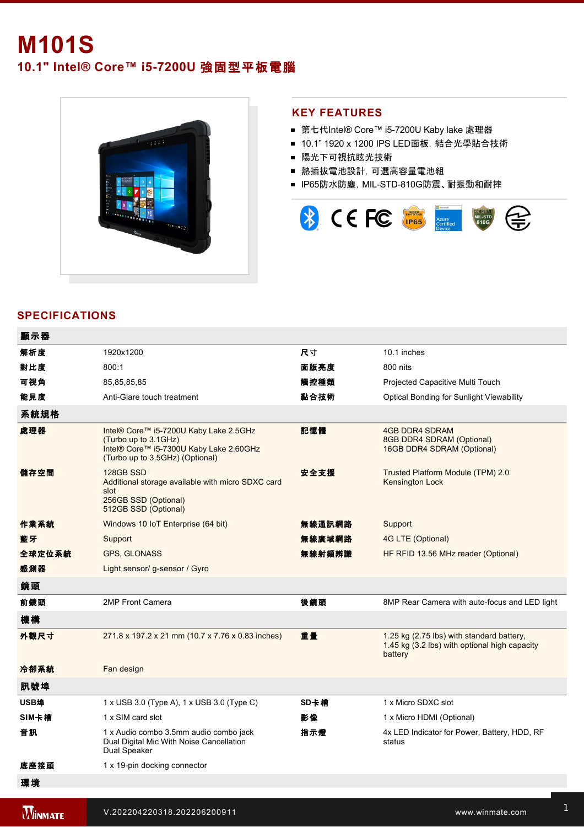# **M101S 10.1" Intel® Core™ i5-7200U 強固型平板電腦**



### **KEY FEATURES**

- 第七代Intel® Core™ i5-7200U Kaby lake 處理器
- 10.1" 1920 x 1200 IPS LED面板, 結合光學貼合技術
- 陽光下可視抗眩光技術
- 熱插拔電池設計,可選高容量電池組
- IP65防水防塵, MIL-STD-810G防震、耐振動和耐摔



# **SPECIFICATIONS**

| 顯示器    |                                                                                                                                              |        |                                                                                                       |
|--------|----------------------------------------------------------------------------------------------------------------------------------------------|--------|-------------------------------------------------------------------------------------------------------|
| 解析度    | 1920x1200                                                                                                                                    | 尺寸     | 10.1 inches                                                                                           |
| 對比度    | 800:1                                                                                                                                        | 面版亮度   | 800 nits                                                                                              |
| 可視角    | 85,85,85,85                                                                                                                                  | 觸控種類   | Projected Capacitive Multi Touch                                                                      |
| 能見度    | Anti-Glare touch treatment                                                                                                                   | 黏合技術   | <b>Optical Bonding for Sunlight Viewability</b>                                                       |
| 系統規格   |                                                                                                                                              |        |                                                                                                       |
| 處理器    | Intel® Core™ i5-7200U Kaby Lake 2.5GHz<br>(Turbo up to 3.1GHz)<br>Intel® Core™ i5-7300U Kaby Lake 2.60GHz<br>(Turbo up to 3.5GHz) (Optional) | 記憶體    | <b>4GB DDR4 SDRAM</b><br>8GB DDR4 SDRAM (Optional)<br>16GB DDR4 SDRAM (Optional)                      |
| 儲存空間   | 128GB SSD<br>Additional storage available with micro SDXC card<br>slot<br>256GB SSD (Optional)<br>512GB SSD (Optional)                       | 安全支援   | Trusted Platform Module (TPM) 2.0<br><b>Kensington Lock</b>                                           |
| 作業系統   | Windows 10 IoT Enterprise (64 bit)                                                                                                           | 無線通訊網路 | Support                                                                                               |
| 藍牙     | Support                                                                                                                                      | 無線廣域網路 | 4G LTE (Optional)                                                                                     |
| 全球定位系統 | <b>GPS, GLONASS</b>                                                                                                                          | 無線射頻辨識 | HF RFID 13.56 MHz reader (Optional)                                                                   |
| 感測器    | Light sensor/g-sensor / Gyro                                                                                                                 |        |                                                                                                       |
| 鏡頭     |                                                                                                                                              |        |                                                                                                       |
| 前鏡頭    | 2MP Front Camera                                                                                                                             | 後鏡頭    | 8MP Rear Camera with auto-focus and LED light                                                         |
| 機構     |                                                                                                                                              |        |                                                                                                       |
| 外觀尺寸   | 271.8 x 197.2 x 21 mm (10.7 x 7.76 x 0.83 inches)                                                                                            | 重量     | 1.25 kg (2.75 lbs) with standard battery,<br>1.45 kg (3.2 lbs) with optional high capacity<br>battery |
| 冷卻系統   | Fan design                                                                                                                                   |        |                                                                                                       |
| 訊號埠    |                                                                                                                                              |        |                                                                                                       |
| USB埠   | 1 x USB 3.0 (Type A), 1 x USB 3.0 (Type C)                                                                                                   | SD卡槽   | 1 x Micro SDXC slot                                                                                   |
| SIM卡槽  | 1 x SIM card slot                                                                                                                            | 影像     | 1 x Micro HDMI (Optional)                                                                             |
| 音訊     | 1 x Audio combo 3.5mm audio combo jack<br>Dual Digital Mic With Noise Cancellation<br>Dual Speaker                                           | 指示燈    | 4x LED Indicator for Power, Battery, HDD, RF<br>status                                                |
| 底座接頭   | 1 x 19-pin docking connector                                                                                                                 |        |                                                                                                       |
| 環境     |                                                                                                                                              |        |                                                                                                       |
|        |                                                                                                                                              |        |                                                                                                       |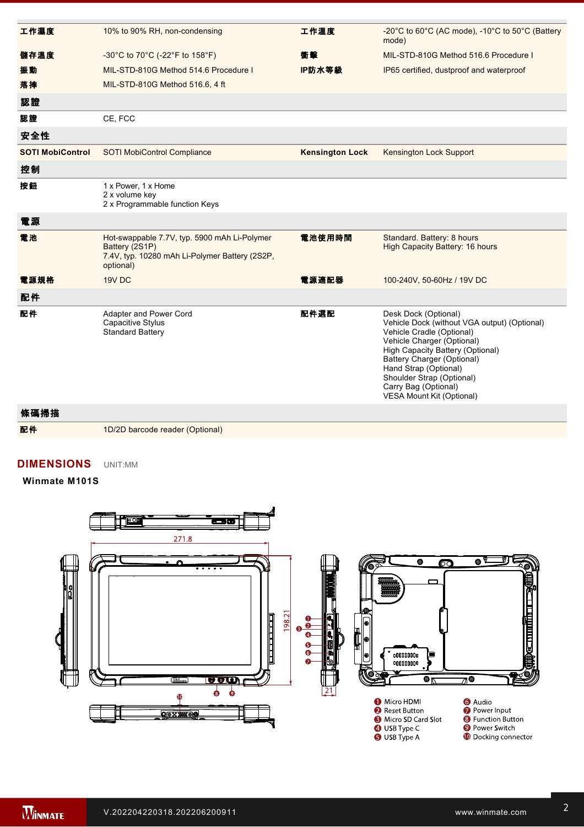| 工作濕度                    | 10% to 90% RH, non-condensing                                                                                                 | 工作溫度                   | -20°C to 60°C (AC mode), -10°C to 50°C (Battery<br>mode)                                                                                                                                                                                                                                                     |
|-------------------------|-------------------------------------------------------------------------------------------------------------------------------|------------------------|--------------------------------------------------------------------------------------------------------------------------------------------------------------------------------------------------------------------------------------------------------------------------------------------------------------|
| 儲存溫度                    | -30°C to 70°C (-22°F to 158°F)                                                                                                | 衝擊                     | MIL-STD-810G Method 516.6 Procedure I                                                                                                                                                                                                                                                                        |
| 振動                      | MIL-STD-810G Method 514.6 Procedure I                                                                                         | IP防水等級                 | IP65 certified, dustproof and waterproof                                                                                                                                                                                                                                                                     |
| 落摔                      | MIL-STD-810G Method 516.6, 4 ft                                                                                               |                        |                                                                                                                                                                                                                                                                                                              |
| 認證                      |                                                                                                                               |                        |                                                                                                                                                                                                                                                                                                              |
| 認證                      | CE, FCC                                                                                                                       |                        |                                                                                                                                                                                                                                                                                                              |
| 安全性                     |                                                                                                                               |                        |                                                                                                                                                                                                                                                                                                              |
| <b>SOTI MobiControl</b> | <b>SOTI MobiControl Compliance</b>                                                                                            | <b>Kensington Lock</b> | Kensington Lock Support                                                                                                                                                                                                                                                                                      |
| 控制                      |                                                                                                                               |                        |                                                                                                                                                                                                                                                                                                              |
| 按鈕                      | 1 x Power, 1 x Home<br>2 x volume key<br>2 x Programmable function Keys                                                       |                        |                                                                                                                                                                                                                                                                                                              |
| 電源                      |                                                                                                                               |                        |                                                                                                                                                                                                                                                                                                              |
| 電池                      | Hot-swappable 7.7V, typ. 5900 mAh Li-Polymer<br>Battery (2S1P)<br>7.4V, typ. 10280 mAh Li-Polymer Battery (2S2P,<br>optional) | 電池使用時間                 | Standard. Battery: 8 hours<br><b>High Capacity Battery: 16 hours</b>                                                                                                                                                                                                                                         |
| 電源規格                    | 19V DC                                                                                                                        | 電源適配器                  | 100-240V, 50-60Hz / 19V DC                                                                                                                                                                                                                                                                                   |
| 配件                      |                                                                                                                               |                        |                                                                                                                                                                                                                                                                                                              |
| 配件                      | Adapter and Power Cord<br><b>Capacitive Stylus</b><br><b>Standard Battery</b>                                                 | 配件選配                   | Desk Dock (Optional)<br>Vehicle Dock (without VGA output) (Optional)<br>Vehicle Cradle (Optional)<br>Vehicle Charger (Optional)<br>High Capacity Battery (Optional)<br>Battery Charger (Optional)<br>Hand Strap (Optional)<br>Shoulder Strap (Optional)<br>Carry Bag (Optional)<br>VESA Mount Kit (Optional) |
|                         |                                                                                                                               |                        |                                                                                                                                                                                                                                                                                                              |

條碼掃描

配件 1D/2D barcode reader (Optional)

#### **DIMENSIONS**  UNIT:MM

**Winmate M101S**



**NOTE**